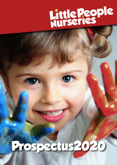

# **Prospectus2020**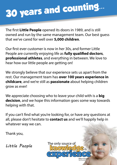# **30 years and counting...**

The first **Little People** opened its doors in 1989, and is still owned and run by the same management team. Our best guess that we've cared for well over **5,000 children**.

Our first ever customer is now in her 30s, and former Little People are currently enjoying life as **fully qualified doctors**, **professional athletes**, and everything in between. We love to hear how our little people are getting on!

We strongly believe that our experience sets us apart from the rest. Our management team has **over 100 years experience in childcare**, and we're still as **passionate** about helping children grow as ever!

We appreciate choosing who to leave your child with is a **big decision**, and we hope this information goes some way towards helping with that.

If you can't find what you're looking for, or have any questions at all, please don't hesitate to **contact us** and we'll happily help in whatever way we can.

The only source of

**experience**

*Albert Einstein*

*(Not Pictured)*

20 Cl<sup>2</sup>is

Thank you,

Little People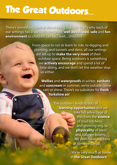### **The Great Outdoors...**

There's something special about being outside. That's why each of our settings has a specially designed, **well developed**, **safe** and **fun environment** so children can be... well... children!

> From space to run or learn to ride, to digging and planting, and tunnels and dens, all our settings are set up to **make the very most** of their outdoor space. Being outdoors is something we **actively encourage** and spend a lot of time doing, and we don't let the weather stop us either.

**Wellies** and **waterproofs** in winter, **sunhats** and **suncream** in summer, we're outside come rain or shine. There's no subsitute for **fresh Yorkshire air**!

> The outdoors lends to lots of **learning opportunites** and we take full advantage of this from the **science** of mud kitchens and growing veg, to **physicality** of bikes and balance beams. We even have chickens at some settings!

> > We're very much at home in **the Great Outdoors**!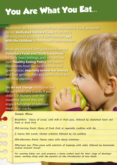## **You Are What You Eat...**

Meal times are a crucial part of our daily routine. Food, prepared by our **dedicated Nursery Cook**, is served in relaxing small groups and staff members **eat with the children** to role-model table manners.

Meals are planned with guidance from the **Voluntary Food and Drink Guidelines** for Early Years Settings, and we have our own **Healthy Eating Policy**. We source ingredients from our local butcher and greengrocer, **regularly review our menus** and love getting child and parent input into our meal planning.

We **do not charge** additional fees for our meals and snacks, if you child is in Nursery over the mealtime period they will enjoy a full range of delicious meals and snacks.

#### *Sample Menu:*

*Breaskfast: Choice of cereal, with milk or fruit juice, followed by wholemeal toast and fresh or dried fruit*

*Mid-morning Snack: Choice of fresh fruit or vegetable crudities with dip*

*2 Course Hot Lunch: Chicken aribiatta followed by rice pudding*

*Mid-afternoon Snack: Cheese cubes with cherry tomatoes*

*Afternoon tea: Pitta pizza with selection of toppings with salad, followed by homemade melted moment biscuit*

*For weaning babies our cook prepares a home cooked meal for their stage of develeopment, working closly with the parents on the introduction of new foods.*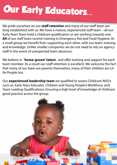# **Our Early Educators...**

We pride ourselves on our **staff retention** and many of our staff team are long established with us. We have a mature, experienced staff team – all our Early Years Team hold a childcare qualification or are working towards one. **All** of our staff team receive training in Emergency Aid and Food Hygiene. As a small group we benefit from supporting each other, with our team, training and knowledge. Unlike smaller companies we do not need to rely on agency staff in the event of unexpected team absences.

We believe in **'home-grown' talent**, and offer training and support for each team member. As a result our staff retention is excellent. We welcome the fact that many of our team are parents themselves, many of their children are Little People too.

Our **experienced leadership team** are qualified to assess Childcare NVQ's such as: Early Years Educator, Children and Young People's Workforce, and Team Leading Qualifications. Ensuring a high level of knowledge of childcare good practice across the group.

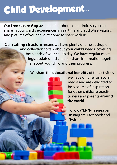### **Child Development...**

Our **free secure App** available for iphone or android so you can share in your child's experiences in real time and add observations and pictures of your child at home to share with us.

Our **staffing structure** means we have plenty of time at drop off and collection to talk about your child's needs, covering both ends of your child's day. We have regular meetings, updates and chats to share information together about your child and their progress.

#### We share the **educational benefits** of the activities



we have on offer on social media and are delighted to be a source of inspiration for other childcare practitioners and parents **around the world**.

Follow **@LPNurseries** on Instagram, Facebook and Twitter.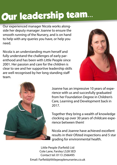# **Our leadership team...**

Our experienced manager Nicola works alongside her deputy manager Joanne to ensure the smooth running of the Nursery, and is on hand to help with any queries you have, or help you need.

Nicola is an understanding mum herself and fully understand the challenges of early parenthood and has been with Little People since 2001. Her passion and care for the children is clear to see and her supportive leadership skills are well recognised by her long standing staff team.





Joanne has an impressive 10 years of experience with us and succesfully graduated from her Foundation Degree in Children's Care, Learning and Development back in 2017.

Together they bring a wealth of knowledge clocking up over 30 years of childcare experience between them!

Nicola and Joanne have achieved excellent results in their Ofsted inspections and 5 star grading for environmental health.

Little People (Farfield) Ltd Cote Lane, Farsley LS28 5ED Contact tel: 0113 2566495 Email: Farfield@littlepeoplenurseries.co.uk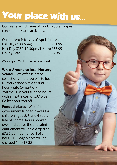## **Your place with us...**

Our fees are **inclusive** of food, nappies, wipes, consumables and activities.

Our current Prices as of April '21 are... Full Day (7.30-6pm) £51.95 Half Day (7.30-12.30pm/1-6pm) £33.95 Hourly Rate **E7.35** 

We apply a 15% discount for a full week.

#### **Wrap-Around to local Nursery**

**School** – We offer selected collections and drop offs to local Nursery schools at a cost of - £7.35 hourly rate (or part of). You may use your funded hours with an extra cost of £3.10 per Collection/Drop off.

**Funded places -** We offer the government funded places for children aged 2, 3 and 4 years free of charge, hours booked over and above the allocated entitlement will be charged at £7.35 per hour (or part of an hour). Full day places will be charged 1hr - £7.35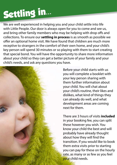# **Settling in...**

We are well experienced in helping you and your child settle into life with Little People. Our door is always open for you to come and see us, and bring other family members who may be helping with drop offs and collections. To ensure our **settling in process** is as smooth as possible we offer an optional home visit. We have found that children are much more receptive to strangers in the comfort of their own home, and your child's key person will spend 30 minutes or so playing with them to start creating that special bond. You will have the opportunity to share more information about your child so they can get a better picture of your family and your child's needs, and ask any questions you have.



Before your child starts with us you will complete a booklet with your key person sharing with them further information about your child. You will chat about your child's routine, their likes and dislikes, what kind of things they can already do well, and what development areas are coming next for them.

There are 3 hours of visits **included** in your booking fee, you can split these however you wish. You know your child the best and will probably have already thought about how they will find the transition. If you would like to book them extra visits prior to starting you can pay for these on the hourly rate, as many or as few as you feel your child needs.